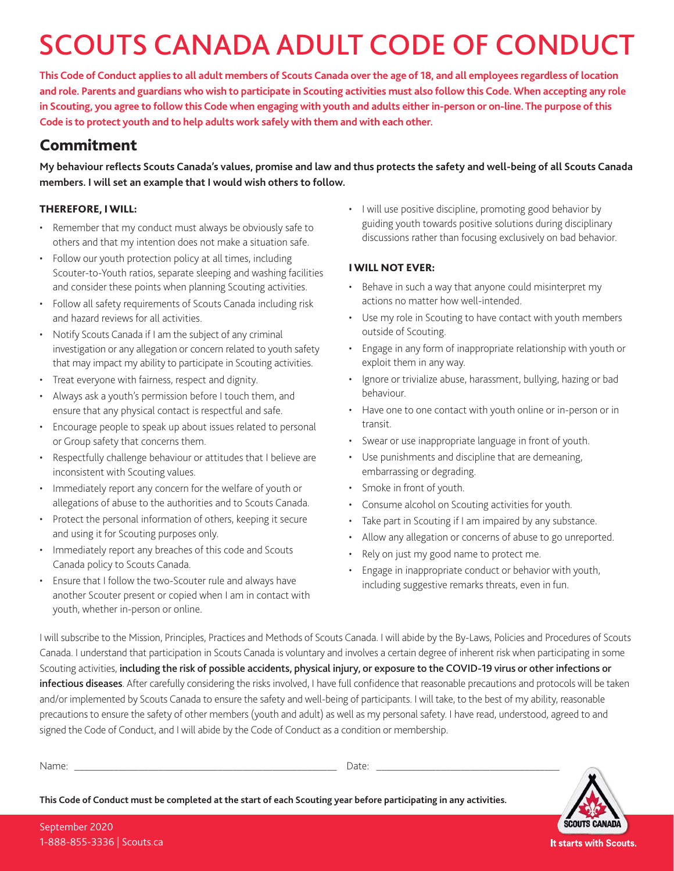# SCOUTS CANADA ADULT CODE OF CONDUCT

**This Code of Conduct applies to all adult members of Scouts Canada over the age of 18, and all employees regardless of location and role. Parents and guardians who wish to participate in Scouting activities must also follow this Code. When accepting any role in Scouting, you agree to follow this Code when engaging with youth and adults either in-person or on-line. The purpose of this Code is to protect youth and to help adults work safely with them and with each other.**

### Commitment

**My behaviour reflects Scouts Canada's values, promise and law and thus protects the safety and well-being of all Scouts Canada members. I will set an example that I would wish others to follow.**

#### THEREFORE, I WILL:

- Remember that my conduct must always be obviously safe to others and that my intention does not make a situation safe.
- Follow our youth protection policy at all times, including Scouter-to-Youth ratios, separate sleeping and washing facilities and consider these points when planning Scouting activities.
- Follow all safety requirements of Scouts Canada including risk and hazard reviews for all activities.
- Notify Scouts Canada if I am the subject of any criminal investigation or any allegation or concern related to youth safety that may impact my ability to participate in Scouting activities.
- Treat everyone with fairness, respect and dignity.
- Always ask a youth's permission before I touch them, and ensure that any physical contact is respectful and safe.
- Encourage people to speak up about issues related to personal or Group safety that concerns them.
- Respectfully challenge behaviour or attitudes that I believe are inconsistent with Scouting values.
- Immediately report any concern for the welfare of youth or allegations of abuse to the authorities and to Scouts Canada.
- Protect the personal information of others, keeping it secure and using it for Scouting purposes only.
- Immediately report any breaches of this code and Scouts Canada policy to Scouts Canada.
- Ensure that I follow the two-Scouter rule and always have another Scouter present or copied when I am in contact with youth, whether in-person or online.

• I will use positive discipline, promoting good behavior by guiding youth towards positive solutions during disciplinary discussions rather than focusing exclusively on bad behavior.

#### I WILL NOT EVER:

- Behave in such a way that anyone could misinterpret my actions no matter how well-intended.
- Use my role in Scouting to have contact with youth members outside of Scouting.
- Engage in any form of inappropriate relationship with youth or exploit them in any way.
- Ignore or trivialize abuse, harassment, bullying, hazing or bad behaviour.
- Have one to one contact with youth online or in-person or in transit.
- Swear or use inappropriate language in front of youth.
- Use punishments and discipline that are demeaning, embarrassing or degrading.
- Smoke in front of youth.
- Consume alcohol on Scouting activities for youth.
- Take part in Scouting if I am impaired by any substance.
- Allow any allegation or concerns of abuse to go unreported.
- Rely on just my good name to protect me.
- Engage in inappropriate conduct or behavior with youth, including suggestive remarks threats, even in fun.

I will subscribe to the Mission, Principles, Practices and Methods of Scouts Canada. I will abide by the By-Laws, Policies and Procedures of Scouts Canada. I understand that participation in Scouts Canada is voluntary and involves a certain degree of inherent risk when participating in some Scouting activities, including the risk of possible accidents, physical injury, or exposure to the COVID-19 virus or other infections or infectious diseases. After carefully considering the risks involved, I have full confidence that reasonable precautions and protocols will be taken and/or implemented by Scouts Canada to ensure the safety and well-being of participants. I will take, to the best of my ability, reasonable precautions to ensure the safety of other members (youth and adult) as well as my personal safety. I have read, understood, agreed to and signed the Code of Conduct, and I will abide by the Code of Conduct as a condition or membership.

|  | --- |  |
|--|-----|--|

**This Code of Conduct must be completed at the start of each Scouting year before participating in any activities.**



**SCOUTS CANADA** It starts with Scouts.